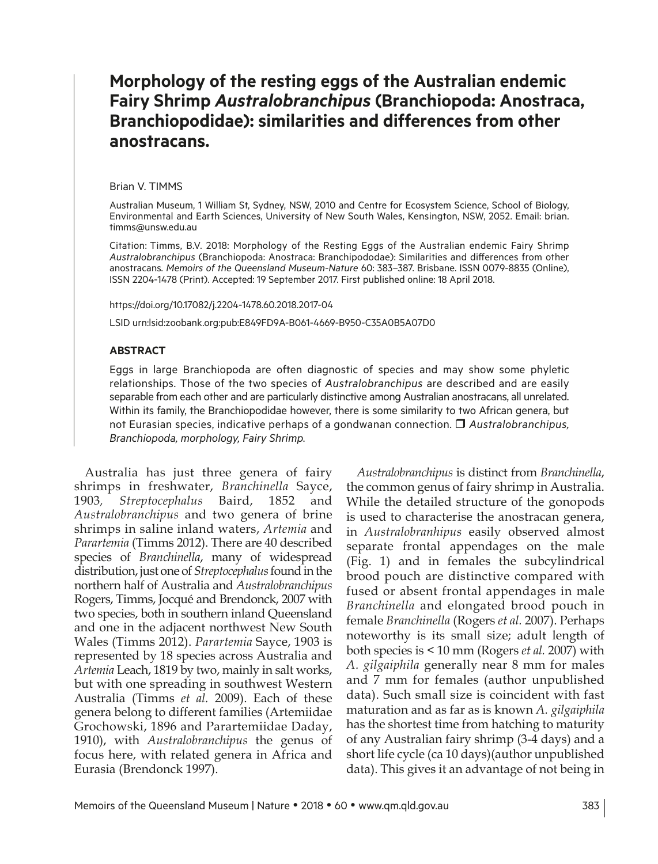# **Morphology of the resting eggs of the Australian endemic Fairy Shrimp** *Australobranchipus* **(Branchiopoda: Anostraca, Branchiopodidae): similarities and differences from other anostracans.**

#### Brian V. TIMMS

Australian Museum, 1 William St, Sydney, NSW, 2010 and Centre for Ecosystem Science, School of Biology, Environmental and Earth Sciences, University of New South Wales, Kensington, NSW, 2052. Email: [brian.](mailto:brian.timms@unsw.edu.au) [timms@unsw.edu.au](mailto:brian.timms@unsw.edu.au)

Citation: Timms, B.V. 2018: Morphology of the Resting Eggs of the Australian endemic Fairy Shrimp *Australobranchipus* (Branchiopoda: Anostraca: Branchipododae): Similarities and differences from other anostracans*. Memoirs of the Queensland Museum-Nature* 60: 383–387. Brisbane. ISSN 0079-8835 (Online), ISSN 2204-1478 (Print). Accepted: 19 September 2017. First published online: 18 April 2018.

https://doi.org/10.17082/j.2204-1478.60.2018.2017-04

LSID urn:lsid:zoobank.org:pub:E849FD9A-B061-4669-B950-C35A0B5A07D0

### **ABSTRACT**

Eggs in large Branchiopoda are often diagnostic of species and may show some phyletic relationships. Those of the two species of *Australobranchipus* are described and are easily separable from each other and are particularly distinctive among Australian anostracans, all unrelated. Within its family, the Branchiopodidae however, there is some similarity to two African genera, but not Eurasian species, indicative perhaps of a gondwanan connection. *Australobranchipus, Branchiopoda, morphology, Fairy Shrimp.*

Australia has just three genera of fairy shrimps in freshwater, *Branchinella* Sayce, 1903*, Streptocephalus* Baird, 1852 and *Australobranchipus* and two genera of brine shrimps in saline inland waters, *Artemia* and *Parartemia* (Timms 2012). There are 40 described species of *Branchinella*, many of widespread distribution, just one of *Streptocephalus* found in the northern half of Australia and *Australobranchipus* Rogers, Timms, Jocqué and Brendonck, 2007 with two species, both in southern inland Queensland and one in the adjacent northwest New South Wales (Timms 2012). *Parartemia* Sayce, 1903 is represented by 18 species across Australia and *Artemia* Leach, 1819 by two, mainly in salt works, but with one spreading in southwest Western Australia (Timms *et al.* 2009). Each of these genera belong to different families (Artemiidae Grochowski, 1896 and Parartemiidae Daday, 1910), with *Australobranchipus* the genus of focus here, with related genera in Africa and Eurasia (Brendonck 1997).

*Australobranchipus* is distinct from *Branchinella*, the common genus of fairy shrimp in Australia. While the detailed structure of the gonopods is used to characterise the anostracan genera, in *Australobranhipus* easily observed almost separate frontal appendages on the male (Fig. 1) and in females the subcylindrical brood pouch are distinctive compared with fused or absent frontal appendages in male *Branchinella* and elongated brood pouch in female *Branchinella* (Rogers *et al.* 2007). Perhaps noteworthy is its small size; adult length of both species is < 10 mm (Rogers *et al.* 2007) with *A. gilgaiphila* generally near 8 mm for males and 7 mm for females (author unpublished data). Such small size is coincident with fast maturation and as far as is known *A. gilgaiphila*  has the shortest time from hatching to maturity of any Australian fairy shrimp (3-4 days) and a short life cycle (ca 10 days)(author unpublished data). This gives it an advantage of not being in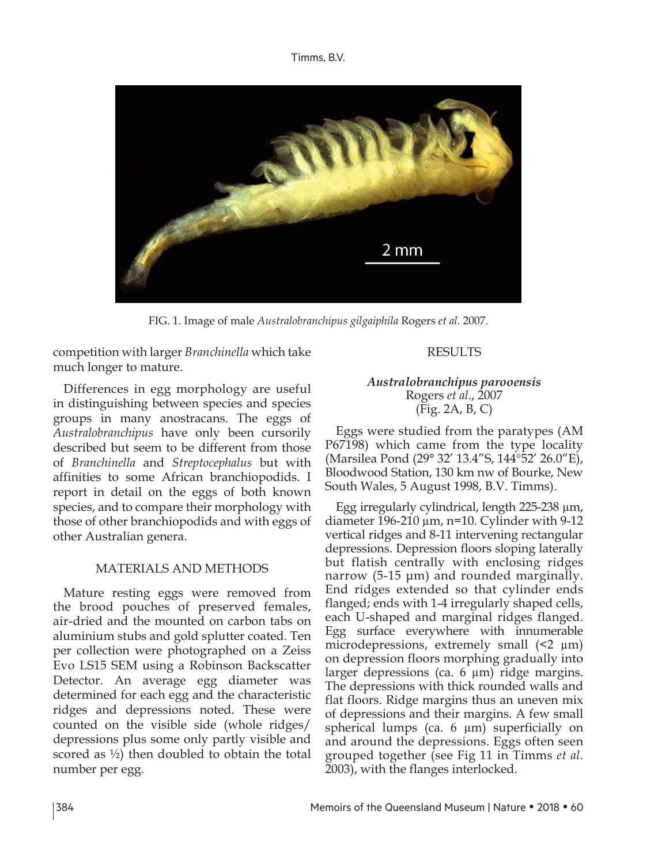Timms, B.V.



FIG. 1. Image of male *Australobranchipus gilgaiphila* Rogers *et al.* 2007.

competition with larger *Branchinella* which take much longer to mature.

### RESULTS

Differences in egg morphology are useful in distinguishing between species and species groups in many anostracans. The eggs of *Australobranchipus* have only been cursorily described but seem to be different from those of *Branchinella* and *Streptocephalus* but with affinities to some African branchiopodids. I report in detail on the eggs of both known species, and to compare their morphology with those of other branchiopodids and with eggs of other Australian genera.

## MATERIALS AND METHODS

Mature resting eggs were removed from the brood pouches of preserved females, air-dried and the mounted on carbon tabs on aluminium stubs and gold splutter coated. Ten per collection were photographed on a Zeiss Evo LS15 SEM using a Robinson Backscatter Detector. An average egg diameter was determined for each egg and the characteristic ridges and depressions noted. These were counted on the visible side (whole ridges/ depressions plus some only partly visible and scored as ½) then doubled to obtain the total number per egg.

### *Australobranchipus parooensis* Rogers *et al*., 2007 (Fig. 2A, B, C)

Eggs were studied from the paratypes (AM P67198) which came from the type locality (Marsilea Pond (29° 32' 13.4"S, 144°52' 26.0"E), Bloodwood Station, 130 km nw of Bourke, New South Wales, 5 August 1998, B.V. Timms).

Egg irregularly cylindrical, length 225-238 µm, diameter 196-210  $\mu$ m, n=10. Cylinder with 9-12 vertical ridges and 8-11 intervening rectangular depressions. Depression floors sloping laterally but flatish centrally with enclosing ridges narrow (5-15 μm) and rounded marginally. End ridges extended so that cylinder ends flanged; ends with 1-4 irregularly shaped cells, each U-shaped and marginal ridges flanged. Egg surface everywhere with innumerable microdepressions, extremely small  $(2 \mu m)$ on depression floors morphing gradually into larger depressions (ca. 6 µm) ridge margins. The depressions with thick rounded walls and flat floors. Ridge margins thus an uneven mix of depressions and their margins. A few small spherical lumps (ca. 6 µm) superficially on and around the depressions. Eggs often seen grouped together (see Fig 11 in Timms *et al.* 2003), with the flanges interlocked.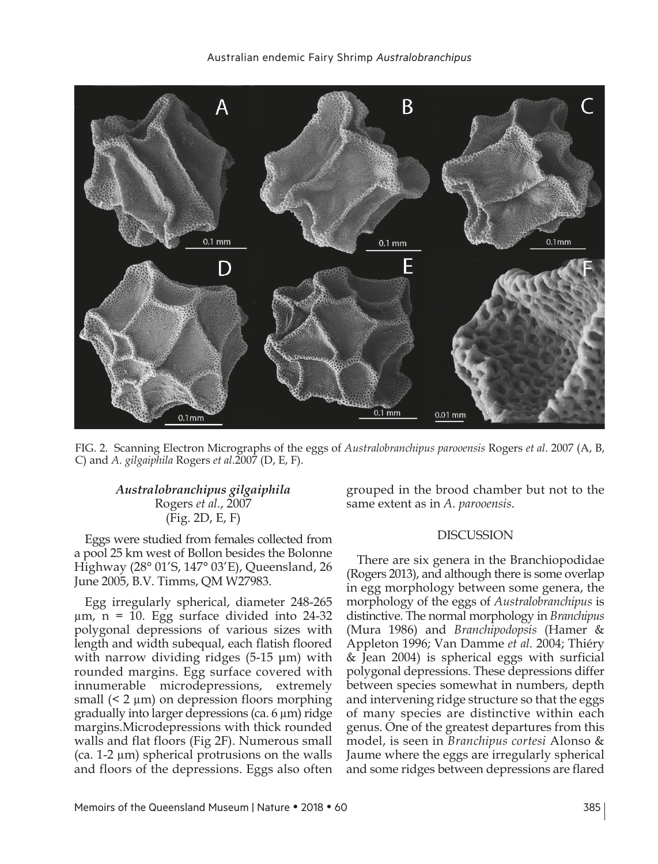

FIG. 2. Scanning Electron Micrographs of the eggs of *Australobranchipus parooensis* Rogers *et al.* 2007 (A, B, C) and *A. gilgaiphila* Rogers *et al.*2007 (D, E, F).

### *Australobranchipus gilgaiphila* Rogers *et al.*, 2007 (Fig. 2D, E, F)

Eggs were studied from females collected from a pool 25 km west of Bollon besides the Bolonne Highway (28° 01'S, 147° 03'E), Queensland, 26 June 2005, B.V. Timms, QM W27983.

Egg irregularly spherical, diameter 248-265  $\mu$ m, n = 10. Egg surface divided into 24-32 polygonal depressions of various sizes with length and width subequal, each flatish floored with narrow dividing ridges (5-15 μm) with rounded margins. Egg surface covered with innumerable microdepressions, extremely small (< 2 µm) on depression floors morphing gradually into larger depressions (ca. 6 µm) ridge margins.Microdepressions with thick rounded walls and flat floors (Fig 2F). Numerous small  $(ca. 1-2 \mu m)$  spherical protrusions on the walls and floors of the depressions. Eggs also often

grouped in the brood chamber but not to the same extent as in *A. parooensis*.

### DISCUSSION

There are six genera in the Branchiopodidae (Rogers 2013), and although there is some overlap in egg morphology between some genera, the morphology of the eggs of *Australobranchipus* is distinctive. The normal morphology in *Branchipus* (Mura 1986) and *Branchipodopsis* (Hamer & Appleton 1996; Van Damme *et al.* 2004; Thiéry & Jean 2004) is spherical eggs with surficial polygonal depressions. These depressions differ between species somewhat in numbers, depth and intervening ridge structure so that the eggs of many species are distinctive within each genus. One of the greatest departures from this model, is seen in *Branchipus cortesi* Alonso & Jaume where the eggs are irregularly spherical and some ridges between depressions are flared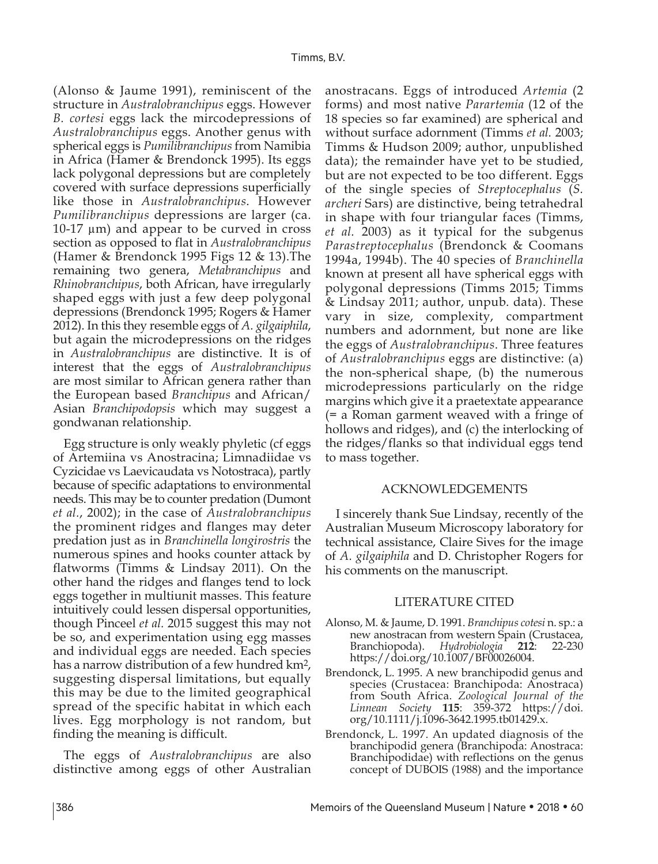(Alonso & Jaume 1991), reminiscent of the structure in *Australobranchipus* eggs. However *B. cortesi* eggs lack the mircodepressions of *Australobranchipus* eggs. Another genus with spherical eggs is *Pumilibranchipus* from Namibia in Africa (Hamer & Brendonck 1995). Its eggs lack polygonal depressions but are completely covered with surface depressions superficially like those in *Australobranchipus*. However *Pumilibranchipus* depressions are larger (ca. 10-17 µm) and appear to be curved in cross section as opposed to flat in *Australobranchipus* (Hamer & Brendonck 1995 Figs 12 & 13).The remaining two genera, *Metabranchipus* and *Rhinobranchipus*, both African, have irregularly shaped eggs with just a few deep polygonal depressions (Brendonck 1995; Rogers & Hamer 2012). In this they resemble eggs of *A. gilgaiphila*, but again the microdepressions on the ridges in *Australobranchipus* are distinctive. It is of interest that the eggs of *Australobranchipus* are most similar to African genera rather than the European based *Branchipus* and African/ Asian *Branchipodopsis* which may suggest a gondwanan relationship.

Egg structure is only weakly phyletic (cf eggs of Artemiina vs Anostracina; Limnadiidae vs Cyzicidae vs Laevicaudata vs Notostraca), partly because of specific adaptations to environmental needs. This may be to counter predation (Dumont *et al.*, 2002); in the case of *Australobranchipus* the prominent ridges and flanges may deter predation just as in *Branchinella longirostris* the numerous spines and hooks counter attack by flatworms (Timms & Lindsay 2011). On the other hand the ridges and flanges tend to lock eggs together in multiunit masses. This feature intuitively could lessen dispersal opportunities, though Pinceel *et al.* 2015 suggest this may not be so, and experimentation using egg masses and individual eggs are needed. Each species has a narrow distribution of a few hundred km2, suggesting dispersal limitations, but equally this may be due to the limited geographical spread of the specific habitat in which each lives. Egg morphology is not random, but finding the meaning is difficult.

The eggs of *Australobranchipus* are also distinctive among eggs of other Australian anostracans. Eggs of introduced *Artemia* (2 forms) and most native *Parartemia* (12 of the 18 species so far examined) are spherical and without surface adornment (Timms *et al.* 2003; Timms & Hudson 2009; author, unpublished data); the remainder have yet to be studied, but are not expected to be too different. Eggs of the single species of *Streptocephalus* (*S. archeri* Sars) are distinctive, being tetrahedral in shape with four triangular faces (Timms, *et al.* 2003) as it typical for the subgenus *Parastreptocephalus* (Brendonck & Coomans 1994a, 1994b). The 40 species of *Branchinella* known at present all have spherical eggs with polygonal depressions (Timms 2015; Timms & Lindsay 2011; author, unpub. data). These vary in size, complexity, compartment numbers and adornment, but none are like the eggs of *Australobranchipus*. Three features of *Australobranchipus* eggs are distinctive: (a) the non-spherical shape, (b) the numerous microdepressions particularly on the ridge margins which give it a praetextate appearance (= a Roman garment weaved with a fringe of hollows and ridges), and (c) the interlocking of the ridges/flanks so that individual eggs tend to mass together.

### ACKNOWLEDGEMENTS

I sincerely thank Sue Lindsay, recently of the Australian Museum Microscopy laboratory for technical assistance, Claire Sives for the image of *A. gilgaiphila* and D. Christopher Rogers for his comments on the manuscript.

### LITERATURE CITED

- Alonso, M. & Jaume, D. 1991. *Branchipus cotesi* n. sp.: a new anostracan from western Spain (Crustacea, Branchiopoda). *Hydrobiologia* **212**: 22-230 https://doi.org/10.1007/BF00026004.
- Brendonck, L. 1995. A new branchipodid genus and species (Crustacea: Branchipoda: Anostraca) from South Africa. *Zoological Journal of the Linnean Society* **115**: 359-372 https://doi. org/10.1111/j.1096-3642.1995.tb01429.x.
- Brendonck, L. 1997. An updated diagnosis of the branchipodid genera (Branchipoda: Anostraca: Branchipodidae) with reflections on the genus concept of DUBOIS (1988) and the importance